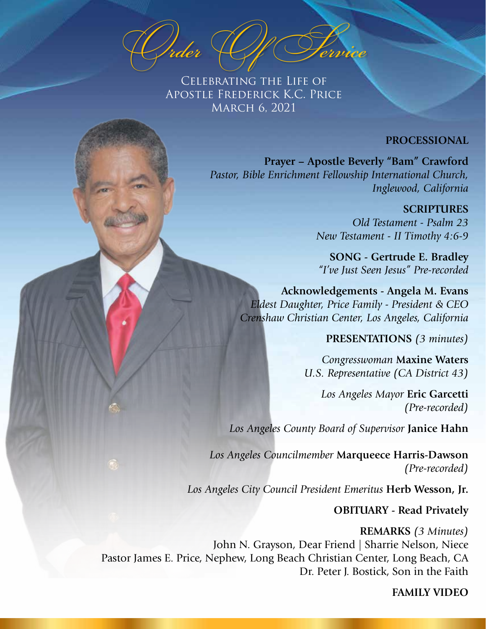O*rder* O*f* S*ervice*

Celebrating the Life of Apostle Frederick K.C. Price March 6, 2021

## **PROCESSIONAL**

**Prayer – Apostle Beverly "Bam" Crawford** *Pastor, Bible Enrichment Fellowship International Church, Inglewood, California* 

> **SCRIPTURES** *Old Testament - Psalm 23 New Testament - II Timothy 4:6-9*

**SONG - Gertrude E. Bradley** *"I've Just Seen Jesus" Pre-recorded*

**Acknowledgements - Angela M. Evans** *Eldest Daughter, Price Family - President & CEO Crenshaw Christian Center, Los Angeles, California*

**PRESENTATIONS** *(3 minutes)*

*Congresswoman* **Maxine Waters** *U.S. Representative (CA District 43)*

> *Los Angeles Mayor* **Eric Garcetti** *(Pre-recorded)*

*Los Angeles County Board of Supervisor* **Janice Hahn**

*Los Angeles Councilmember* **Marqueece Harris-Dawson**  *(Pre-recorded)*

*Los Angeles City Council President Emeritus* **Herb Wesson, Jr.**

**OBITUARY - Read Privately**

**REMARKS** *(3 Minutes)*  John N. Grayson, Dear Friend | Sharrie Nelson, Niece Pastor James E. Price, Nephew, Long Beach Christian Center, Long Beach, CA Dr. Peter J. Bostick, Son in the Faith

**FAMILY VIDEO**